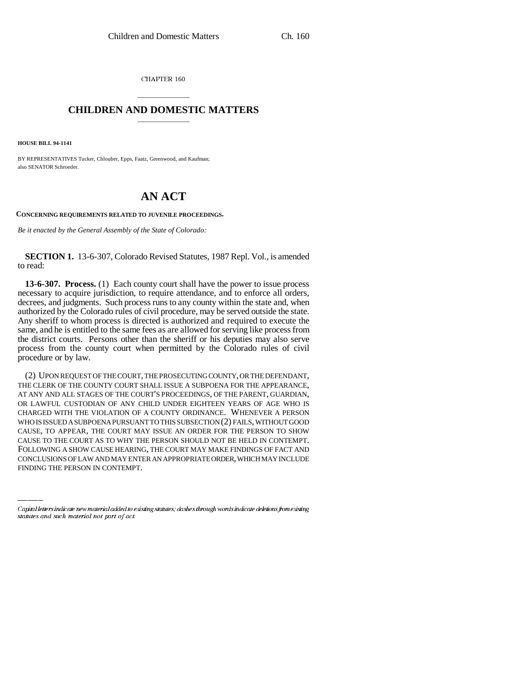CHAPTER 160

## \_\_\_\_\_\_\_\_\_\_\_\_\_\_\_ **CHILDREN AND DOMESTIC MATTERS** \_\_\_\_\_\_\_\_\_\_\_\_\_\_\_

**HOUSE BILL 94-1141**

BY REPRESENTATIVES Tucker, Chlouber, Epps, Faatz, Greenwood, and Kaufman; also SENATOR Schroeder.

## **AN ACT**

**CONCERNING REQUIREMENTS RELATED TO JUVENILE PROCEEDINGS.**

*Be it enacted by the General Assembly of the State of Colorado:*

**SECTION 1.** 13-6-307, Colorado Revised Statutes, 1987 Repl. Vol., is amended to read:

**13-6-307. Process.** (1) Each county court shall have the power to issue process necessary to acquire jurisdiction, to require attendance, and to enforce all orders, decrees, and judgments. Such process runs to any county within the state and, when authorized by the Colorado rules of civil procedure, may be served outside the state. Any sheriff to whom process is directed is authorized and required to execute the same, and he is entitled to the same fees as are allowed for serving like process from the district courts. Persons other than the sheriff or his deputies may also serve process from the county court when permitted by the Colorado rules of civil procedure or by law.

CAUSE TO THE COURT AS TO WHY THE PERSON SHOULD NOT BE HELD IN CONTEMPT. (2) UPON REQUEST OF THE COURT, THE PROSECUTING COUNTY, OR THE DEFENDANT, THE CLERK OF THE COUNTY COURT SHALL ISSUE A SUBPOENA FOR THE APPEARANCE, AT ANY AND ALL STAGES OF THE COURT'S PROCEEDINGS, OF THE PARENT, GUARDIAN, OR LAWFUL CUSTODIAN OF ANY CHILD UNDER EIGHTEEN YEARS OF AGE WHO IS CHARGED WITH THE VIOLATION OF A COUNTY ORDINANCE. WHENEVER A PERSON WHO IS ISSUED A SUBPOENA PURSUANT TO THIS SUBSECTION (2) FAILS, WITHOUT GOOD CAUSE, TO APPEAR, THE COURT MAY ISSUE AN ORDER FOR THE PERSON TO SHOW FOLLOWING A SHOW CAUSE HEARING, THE COURT MAY MAKE FINDINGS OF FACT AND CONCLUSIONS OF LAW AND MAY ENTER AN APPROPRIATE ORDER, WHICH MAY INCLUDE FINDING THE PERSON IN CONTEMPT.

Capital letters indicate new material added to existing statutes; dashes through words indicate deletions from existing statutes and such material not part of act.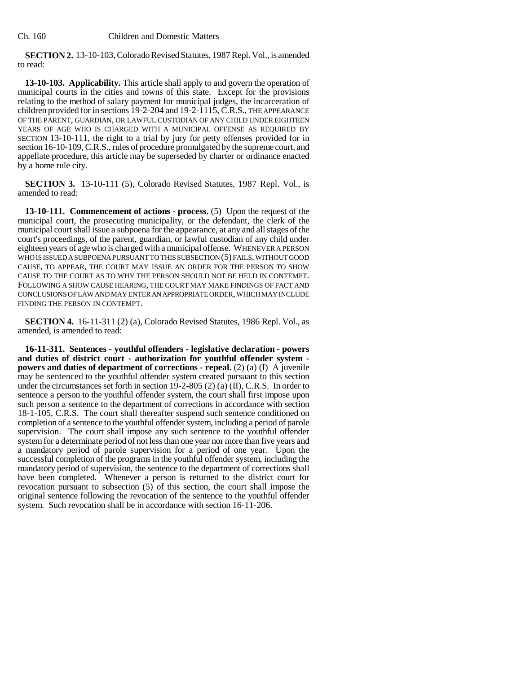**SECTION 2.** 13-10-103, Colorado Revised Statutes, 1987 Repl. Vol., is amended to read:

**13-10-103. Applicability.** This article shall apply to and govern the operation of municipal courts in the cities and towns of this state. Except for the provisions relating to the method of salary payment for municipal judges, the incarceration of children provided for in sections 19-2-204 and 19-2-1115, C.R.S., THE APPEARANCE OF THE PARENT, GUARDIAN, OR LAWFUL CUSTODIAN OF ANY CHILD UNDER EIGHTEEN YEARS OF AGE WHO IS CHARGED WITH A MUNICIPAL OFFENSE AS REQUIRED BY SECTION 13-10-111, the right to a trial by jury for petty offenses provided for in section 16-10-109, C.R.S., rules of procedure promulgated by the supreme court, and appellate procedure, this article may be superseded by charter or ordinance enacted by a home rule city.

**SECTION 3.** 13-10-111 (5), Colorado Revised Statutes, 1987 Repl. Vol., is amended to read:

**13-10-111. Commencement of actions - process.** (5) Upon the request of the municipal court, the prosecuting municipality, or the defendant, the clerk of the municipal court shall issue a subpoena for the appearance, at any and all stages of the court's proceedings, of the parent, guardian, or lawful custodian of any child under eighteen years of age who is charged with a municipal offense. WHENEVER A PERSON WHO IS ISSUED A SUBPOENA PURSUANT TO THIS SUBSECTION (5) FAILS, WITHOUT GOOD CAUSE, TO APPEAR, THE COURT MAY ISSUE AN ORDER FOR THE PERSON TO SHOW CAUSE TO THE COURT AS TO WHY THE PERSON SHOULD NOT BE HELD IN CONTEMPT. FOLLOWING A SHOW CAUSE HEARING, THE COURT MAY MAKE FINDINGS OF FACT AND CONCLUSIONS OF LAW AND MAY ENTER AN APPROPRIATE ORDER, WHICH MAY INCLUDE FINDING THE PERSON IN CONTEMPT.

**SECTION 4.** 16-11-311 (2) (a), Colorado Revised Statutes, 1986 Repl. Vol., as amended, is amended to read:

**16-11-311. Sentences - youthful offenders - legislative declaration - powers and duties of district court - authorization for youthful offender system powers and duties of department of corrections - repeal.** (2) (a) (I) A juvenile may be sentenced to the youthful offender system created pursuant to this section under the circumstances set forth in section 19-2-805 (2) (a) (II), C.R.S. In order to sentence a person to the youthful offender system, the court shall first impose upon such person a sentence to the department of corrections in accordance with section 18-1-105, C.R.S. The court shall thereafter suspend such sentence conditioned on completion of a sentence to the youthful offender system, including a period of parole supervision. The court shall impose any such sentence to the youthful offender system for a determinate period of not less than one year nor more than five years and a mandatory period of parole supervision for a period of one year. Upon the successful completion of the programs in the youthful offender system, including the mandatory period of supervision, the sentence to the department of corrections shall have been completed. Whenever a person is returned to the district court for revocation pursuant to subsection (5) of this section, the court shall impose the original sentence following the revocation of the sentence to the youthful offender system. Such revocation shall be in accordance with section 16-11-206.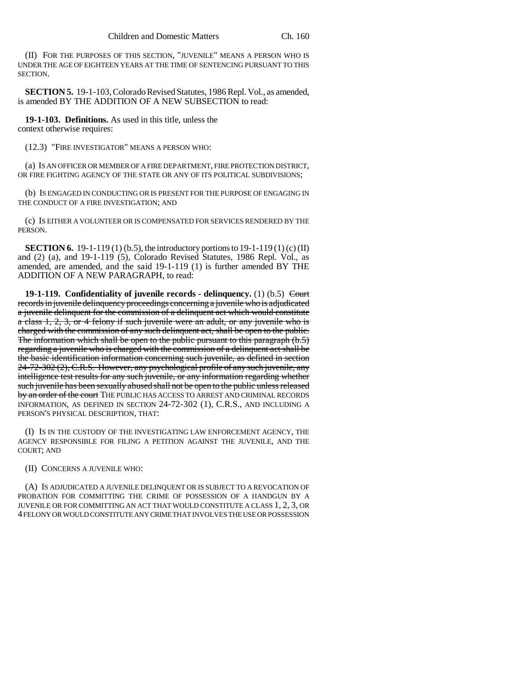(II) FOR THE PURPOSES OF THIS SECTION, "JUVENILE" MEANS A PERSON WHO IS UNDER THE AGE OF EIGHTEEN YEARS AT THE TIME OF SENTENCING PURSUANT TO THIS SECTION.

**SECTION 5.** 19-1-103, Colorado Revised Statutes, 1986 Repl. Vol., as amended, is amended BY THE ADDITION OF A NEW SUBSECTION to read:

**19-1-103. Definitions.** As used in this title, unless the context otherwise requires:

(12.3) "FIRE INVESTIGATOR" MEANS A PERSON WHO:

(a) IS AN OFFICER OR MEMBER OF A FIRE DEPARTMENT, FIRE PROTECTION DISTRICT, OR FIRE FIGHTING AGENCY OF THE STATE OR ANY OF ITS POLITICAL SUBDIVISIONS;

(b) IS ENGAGED IN CONDUCTING OR IS PRESENT FOR THE PURPOSE OF ENGAGING IN THE CONDUCT OF A FIRE INVESTIGATION; AND

(c) IS EITHER A VOLUNTEER OR IS COMPENSATED FOR SERVICES RENDERED BY THE PERSON.

**SECTION 6.** 19-1-119 (1) (b.5), the introductory portions to 19-1-119 (1) (c) (II) and (2) (a), and 19-1-119 (5), Colorado Revised Statutes, 1986 Repl. Vol., as amended, are amended, and the said 19-1-119 (1) is further amended BY THE ADDITION OF A NEW PARAGRAPH, to read:

**19-1-119.** Confidentiality of juvenile records - delinquency. (1) (b.5) <del>Court</del> records in juvenile delinquency proceedings concerning a juvenile who is adjudicated a juvenile delinquent for the commission of a delinquent act which would constitute a class 1, 2, 3, or 4 felony if such juvenile were an adult, or any juvenile who is charged with the commission of any such delinquent act, shall be open to the public. The information which shall be open to the public pursuant to this paragraph (b.5) regarding a juvenile who is charged with the commission of a delinquent act shall be the basic identification information concerning such juvenile, as defined in section 24-72-302 (2), C.R.S. However, any psychological profile of any such juvenile, any intelligence test results for any such juvenile, or any information regarding whether such juvenile has been sexually abused shall not be open to the public unless released by an order of the court THE PUBLIC HAS ACCESS TO ARREST AND CRIMINAL RECORDS INFORMATION, AS DEFINED IN SECTION 24-72-302 (1), C.R.S., AND INCLUDING A PERSON'S PHYSICAL DESCRIPTION, THAT:

(I) IS IN THE CUSTODY OF THE INVESTIGATING LAW ENFORCEMENT AGENCY, THE AGENCY RESPONSIBLE FOR FILING A PETITION AGAINST THE JUVENILE, AND THE COURT; AND

(II) CONCERNS A JUVENILE WHO:

(A) IS ADJUDICATED A JUVENILE DELINQUENT OR IS SUBJECT TO A REVOCATION OF PROBATION FOR COMMITTING THE CRIME OF POSSESSION OF A HANDGUN BY A JUVENILE OR FOR COMMITTING AN ACT THAT WOULD CONSTITUTE A CLASS 1, 2, 3, OR 4 FELONY OR WOULD CONSTITUTE ANY CRIME THAT INVOLVES THE USE OR POSSESSION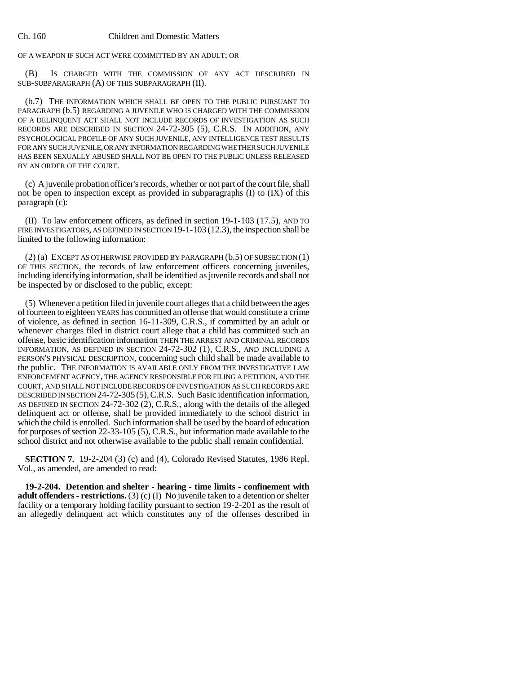OF A WEAPON IF SUCH ACT WERE COMMITTED BY AN ADULT; OR

(B) IS CHARGED WITH THE COMMISSION OF ANY ACT DESCRIBED IN SUB-SUBPARAGRAPH (A) OF THIS SUBPARAGRAPH (II).

(b.7) THE INFORMATION WHICH SHALL BE OPEN TO THE PUBLIC PURSUANT TO PARAGRAPH (b.5) REGARDING A JUVENILE WHO IS CHARGED WITH THE COMMISSION OF A DELINQUENT ACT SHALL NOT INCLUDE RECORDS OF INVESTIGATION AS SUCH RECORDS ARE DESCRIBED IN SECTION 24-72-305 (5), C.R.S. IN ADDITION, ANY PSYCHOLOGICAL PROFILE OF ANY SUCH JUVENILE, ANY INTELLIGENCE TEST RESULTS FOR ANY SUCH JUVENILE, OR ANY INFORMATION REGARDING WHETHER SUCH JUVENILE HAS BEEN SEXUALLY ABUSED SHALL NOT BE OPEN TO THE PUBLIC UNLESS RELEASED BY AN ORDER OF THE COURT.

(c) A juvenile probation officer's records, whether or not part of the court file, shall not be open to inspection except as provided in subparagraphs (I) to (IX) of this paragraph (c):

(II) To law enforcement officers, as defined in section 19-1-103 (17.5), AND TO FIRE INVESTIGATORS, AS DEFINED IN SECTION 19-1-103 (12.3), the inspection shall be limited to the following information:

(2) (a) EXCEPT AS OTHERWISE PROVIDED BY PARAGRAPH (b.5) OF SUBSECTION (1) OF THIS SECTION, the records of law enforcement officers concerning juveniles, including identifying information, shall be identified as juvenile records and shall not be inspected by or disclosed to the public, except:

(5) Whenever a petition filed in juvenile court alleges that a child between the ages of fourteen to eighteen YEARS has committed an offense that would constitute a crime of violence, as defined in section 16-11-309, C.R.S., if committed by an adult or whenever charges filed in district court allege that a child has committed such an offense, basic identification information THEN THE ARREST AND CRIMINAL RECORDS INFORMATION, AS DEFINED IN SECTION 24-72-302 (1), C.R.S., AND INCLUDING A PERSON'S PHYSICAL DESCRIPTION, concerning such child shall be made available to the public. THE INFORMATION IS AVAILABLE ONLY FROM THE INVESTIGATIVE LAW ENFORCEMENT AGENCY, THE AGENCY RESPONSIBLE FOR FILING A PETITION, AND THE COURT, AND SHALL NOT INCLUDE RECORDS OF INVESTIGATION AS SUCH RECORDS ARE DESCRIBED IN SECTION 24-72-305 (5), C.R.S. Such Basic identification information, AS DEFINED IN SECTION 24-72-302 (2), C.R.S., along with the details of the alleged delinquent act or offense, shall be provided immediately to the school district in which the child is enrolled. Such information shall be used by the board of education for purposes of section 22-33-105 (5), C.R.S., but information made available to the school district and not otherwise available to the public shall remain confidential.

**SECTION 7.** 19-2-204 (3) (c) and (4), Colorado Revised Statutes, 1986 Repl. Vol., as amended, are amended to read:

**19-2-204. Detention and shelter - hearing - time limits - confinement with adult offenders - restrictions.** (3) (c) (I) No juvenile taken to a detention or shelter facility or a temporary holding facility pursuant to section 19-2-201 as the result of an allegedly delinquent act which constitutes any of the offenses described in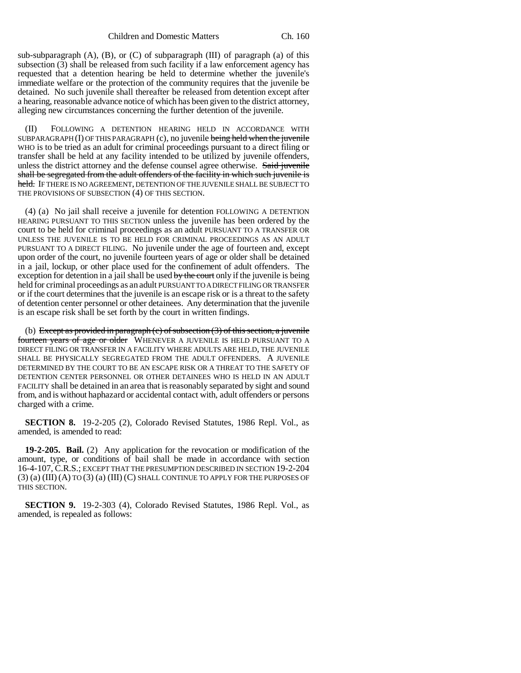sub-subparagraph  $(A)$ ,  $(B)$ , or  $(C)$  of subparagraph  $(III)$  of paragraph  $(a)$  of this subsection (3) shall be released from such facility if a law enforcement agency has requested that a detention hearing be held to determine whether the juvenile's immediate welfare or the protection of the community requires that the juvenile be detained. No such juvenile shall thereafter be released from detention except after a hearing, reasonable advance notice of which has been given to the district attorney, alleging new circumstances concerning the further detention of the juvenile.

(II) FOLLOWING A DETENTION HEARING HELD IN ACCORDANCE WITH SUBPARAGRAPH  $(I)$  OF THIS PARAGRAPH  $(c)$ , no juvenile being held when the juvenile WHO is to be tried as an adult for criminal proceedings pursuant to a direct filing or transfer shall be held at any facility intended to be utilized by juvenile offenders, unless the district attorney and the defense counsel agree otherwise. Said juvenile shall be segregated from the adult offenders of the facility in which such juvenile is held. IF THERE IS NO AGREEMENT, DETENTION OF THE JUVENILE SHALL BE SUBJECT TO THE PROVISIONS OF SUBSECTION (4) OF THIS SECTION.

(4) (a) No jail shall receive a juvenile for detention FOLLOWING A DETENTION HEARING PURSUANT TO THIS SECTION unless the juvenile has been ordered by the court to be held for criminal proceedings as an adult PURSUANT TO A TRANSFER OR UNLESS THE JUVENILE IS TO BE HELD FOR CRIMINAL PROCEEDINGS AS AN ADULT PURSUANT TO A DIRECT FILING. No juvenile under the age of fourteen and, except upon order of the court, no juvenile fourteen years of age or older shall be detained in a jail, lockup, or other place used for the confinement of adult offenders. The exception for detention in a jail shall be used by the court only if the juvenile is being held for criminal proceedings as an adult PURSUANT TO A DIRECT FILING OR TRANSFER or if the court determines that the juvenile is an escape risk or is a threat to the safety of detention center personnel or other detainees. Any determination that the juvenile is an escape risk shall be set forth by the court in written findings.

(b) Except as provided in paragraph  $(c)$  of subsection  $(3)$  of this section, a juvenile fourteen years of age or older WHENEVER A JUVENILE IS HELD PURSUANT TO A DIRECT FILING OR TRANSFER IN A FACILITY WHERE ADULTS ARE HELD, THE JUVENILE SHALL BE PHYSICALLY SEGREGATED FROM THE ADULT OFFENDERS. A JUVENILE DETERMINED BY THE COURT TO BE AN ESCAPE RISK OR A THREAT TO THE SAFETY OF DETENTION CENTER PERSONNEL OR OTHER DETAINEES WHO IS HELD IN AN ADULT FACILITY shall be detained in an area that is reasonably separated by sight and sound from, and is without haphazard or accidental contact with, adult offenders or persons charged with a crime.

**SECTION 8.** 19-2-205 (2), Colorado Revised Statutes, 1986 Repl. Vol., as amended, is amended to read:

**19-2-205. Bail.** (2) Any application for the revocation or modification of the amount, type, or conditions of bail shall be made in accordance with section 16-4-107, C.R.S.; EXCEPT THAT THE PRESUMPTION DESCRIBED IN SECTION 19-2-204 (3) (a) (III) (A) TO (3) (a) (III) (C) SHALL CONTINUE TO APPLY FOR THE PURPOSES OF THIS SECTION.

**SECTION 9.** 19-2-303 (4), Colorado Revised Statutes, 1986 Repl. Vol., as amended, is repealed as follows: